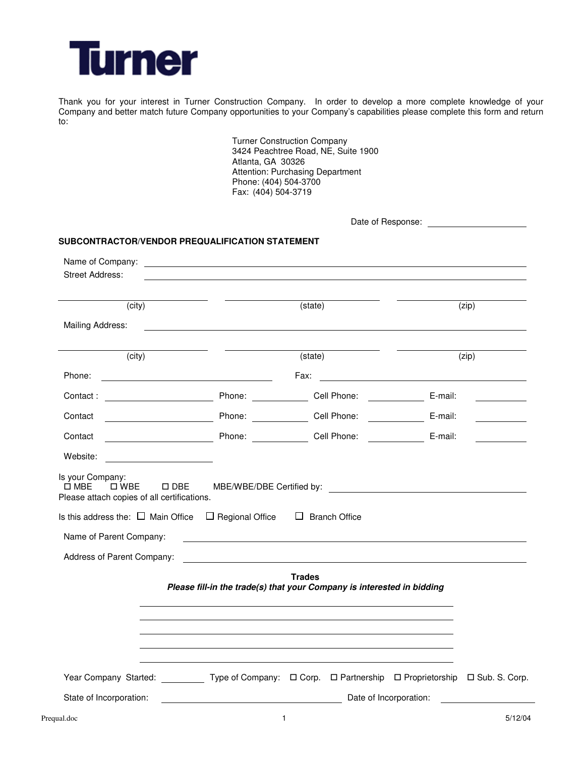

Thank you for your interest in Turner Construction Company. In order to develop a more complete knowledge of your Company and better match future Company opportunities to your Company's capabilities please complete this form and return to:

> Turner Construction Company 3424 Peachtree Road, NE, Suite 1900 Atlanta, GA 30326 Attention: Purchasing Department Phone: (404) 504-3700 Fax: (404) 504-3719

| SUBCONTRACTOR/VENDOR PREQUALIFICATION STATEMENT<br>Name of Company: <u>example and the company</u> control of the control of the control of the control of the control of the control of the control of the control of the control of the control of the control of the control of the |                                                                                         |         |
|----------------------------------------------------------------------------------------------------------------------------------------------------------------------------------------------------------------------------------------------------------------------------------------|-----------------------------------------------------------------------------------------|---------|
| <b>Street Address:</b>                                                                                                                                                                                                                                                                 |                                                                                         |         |
| (city)                                                                                                                                                                                                                                                                                 | (state)                                                                                 | (zip)   |
| Mailing Address:                                                                                                                                                                                                                                                                       |                                                                                         |         |
| (city)                                                                                                                                                                                                                                                                                 | (state)                                                                                 | (zip)   |
|                                                                                                                                                                                                                                                                                        |                                                                                         |         |
|                                                                                                                                                                                                                                                                                        |                                                                                         |         |
| Contact                                                                                                                                                                                                                                                                                | Dell Phone: Cell Phone: Cell Phone: E-mail:                                             |         |
| Contact Contact Contact Contact Contact Contact Contact Contact Contact Contact Contact Contact Contact Contact Contact Contact Contact Contact Contact Contact Contact Contact Contact Contact Contact Contact Contact Contac                                                         |                                                                                         |         |
| Website: <u>_________________</u>                                                                                                                                                                                                                                                      |                                                                                         |         |
| <del>Ω</del><br>□ MBE   □ WBE   □ DBE    MBE/WBE/DBE Certified by: ______________________________<br>Please attach copies of all certifications.<br>Is this address the: $\Box$ Main Office $\Box$ Regional Office $\Box$ Branch Office<br>Name of Parent Company:                     | <u> 1989 - Johann John Stein, marwolaethau (b. 1989)</u>                                |         |
|                                                                                                                                                                                                                                                                                        | <b>Trades</b><br>Please fill-in the trade(s) that your Company is interested in bidding |         |
|                                                                                                                                                                                                                                                                                        |                                                                                         |         |
| Year Company Started: ___________ Type of Company: $\Box$ Corp. $\Box$ Partnership $\Box$ Proprietorship $\Box$ Sub. S. Corp.                                                                                                                                                          |                                                                                         |         |
| State of Incorporation:                                                                                                                                                                                                                                                                | Date of Incorporation:                                                                  |         |
| Prequal.doc                                                                                                                                                                                                                                                                            | $\mathbf{1}$                                                                            | 5/12/04 |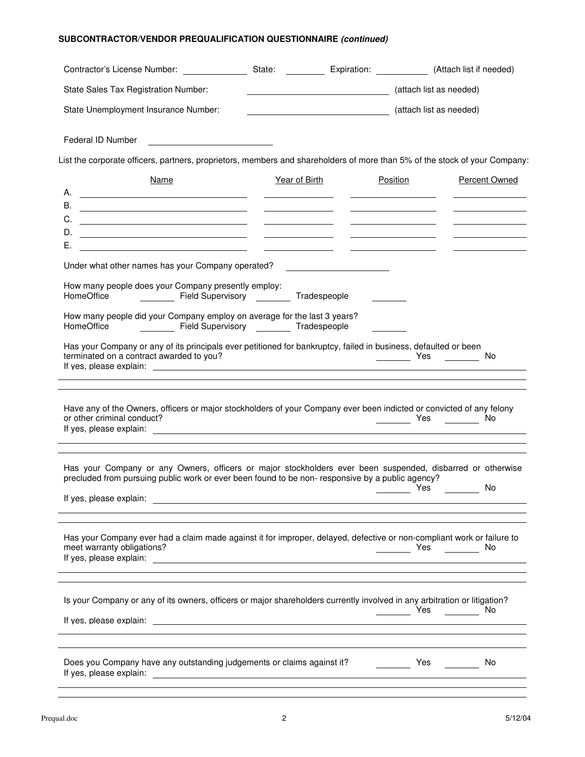## **SUBCONTRACTOR/VENDOR PREQUALIFICATION QUESTIONNAIRE (continued)**

| Contractor's License Number:                                                                                                                                                                                                                                                                                                                                                                                                                                                                                                                                                                                                                                                                                                                                                                                                                                                                                                                                            | State: <b>Expiration:</b> (Attach list if needed) |                                                                                                                                                                                                                                      |          |                         |                                                         |
|-------------------------------------------------------------------------------------------------------------------------------------------------------------------------------------------------------------------------------------------------------------------------------------------------------------------------------------------------------------------------------------------------------------------------------------------------------------------------------------------------------------------------------------------------------------------------------------------------------------------------------------------------------------------------------------------------------------------------------------------------------------------------------------------------------------------------------------------------------------------------------------------------------------------------------------------------------------------------|---------------------------------------------------|--------------------------------------------------------------------------------------------------------------------------------------------------------------------------------------------------------------------------------------|----------|-------------------------|---------------------------------------------------------|
| State Sales Tax Registration Number:                                                                                                                                                                                                                                                                                                                                                                                                                                                                                                                                                                                                                                                                                                                                                                                                                                                                                                                                    |                                                   | <u> 1989 - Johann Barn, mars eta bainar eta idazlea (</u>                                                                                                                                                                            |          | (attach list as needed) |                                                         |
| State Unemployment Insurance Number:                                                                                                                                                                                                                                                                                                                                                                                                                                                                                                                                                                                                                                                                                                                                                                                                                                                                                                                                    |                                                   | (attach list as needed)                                                                                                                                                                                                              |          |                         |                                                         |
| Federal ID Number <b>Federal ID</b> Number                                                                                                                                                                                                                                                                                                                                                                                                                                                                                                                                                                                                                                                                                                                                                                                                                                                                                                                              |                                                   |                                                                                                                                                                                                                                      |          |                         |                                                         |
| List the corporate officers, partners, proprietors, members and shareholders of more than 5% of the stock of your Company:                                                                                                                                                                                                                                                                                                                                                                                                                                                                                                                                                                                                                                                                                                                                                                                                                                              |                                                   |                                                                                                                                                                                                                                      |          |                         |                                                         |
| Name                                                                                                                                                                                                                                                                                                                                                                                                                                                                                                                                                                                                                                                                                                                                                                                                                                                                                                                                                                    |                                                   | Year of Birth                                                                                                                                                                                                                        | Position |                         | Percent Owned                                           |
|                                                                                                                                                                                                                                                                                                                                                                                                                                                                                                                                                                                                                                                                                                                                                                                                                                                                                                                                                                         |                                                   | <u> The Common School (1989)</u>                                                                                                                                                                                                     |          |                         |                                                         |
| <b>B.</b><br><u> 1989 - Johann Barbara, martxa alemaniar amerikan a</u><br>C.                                                                                                                                                                                                                                                                                                                                                                                                                                                                                                                                                                                                                                                                                                                                                                                                                                                                                           |                                                   |                                                                                                                                                                                                                                      |          |                         |                                                         |
| <u> Liste de la construcción de la construcción de la construcción de la construcción de la construcción de la c</u><br>D.<br><u> 1980 - Johann Harry Harry Harry Harry Harry Harry Harry Harry Harry Harry Harry Harry Harry Harry Harry Harry</u>                                                                                                                                                                                                                                                                                                                                                                                                                                                                                                                                                                                                                                                                                                                     |                                                   | <u> El antiga de la contenentación de la contenentación de la contenentación de la contenentación de la contenentación de la contenentación de la contenentación de la contenentación de la contenentación de la contenentación </u> |          |                         |                                                         |
| Е.<br><u> 1990 - Johann Barn, fransk politik (f. 1980)</u>                                                                                                                                                                                                                                                                                                                                                                                                                                                                                                                                                                                                                                                                                                                                                                                                                                                                                                              |                                                   |                                                                                                                                                                                                                                      |          |                         | <u> The Communication of the Communication</u>          |
| Under what other names has your Company operated?                                                                                                                                                                                                                                                                                                                                                                                                                                                                                                                                                                                                                                                                                                                                                                                                                                                                                                                       |                                                   |                                                                                                                                                                                                                                      |          |                         |                                                         |
|                                                                                                                                                                                                                                                                                                                                                                                                                                                                                                                                                                                                                                                                                                                                                                                                                                                                                                                                                                         |                                                   |                                                                                                                                                                                                                                      |          |                         |                                                         |
| How many people does your Company presently employ:<br>HomeOffice ______________ Field Supervisory __________ Tradespeople                                                                                                                                                                                                                                                                                                                                                                                                                                                                                                                                                                                                                                                                                                                                                                                                                                              |                                                   |                                                                                                                                                                                                                                      |          |                         |                                                         |
| How many people did your Company employ on average for the last 3 years?<br>HomeOffice   Field Supervisory   Tradespeople                                                                                                                                                                                                                                                                                                                                                                                                                                                                                                                                                                                                                                                                                                                                                                                                                                               |                                                   |                                                                                                                                                                                                                                      |          |                         |                                                         |
|                                                                                                                                                                                                                                                                                                                                                                                                                                                                                                                                                                                                                                                                                                                                                                                                                                                                                                                                                                         |                                                   |                                                                                                                                                                                                                                      |          |                         |                                                         |
|                                                                                                                                                                                                                                                                                                                                                                                                                                                                                                                                                                                                                                                                                                                                                                                                                                                                                                                                                                         |                                                   |                                                                                                                                                                                                                                      |          |                         | __________ Yes _________ No<br><b>Example 19 Yes</b> No |
|                                                                                                                                                                                                                                                                                                                                                                                                                                                                                                                                                                                                                                                                                                                                                                                                                                                                                                                                                                         |                                                   |                                                                                                                                                                                                                                      |          | Yes                     | No                                                      |
|                                                                                                                                                                                                                                                                                                                                                                                                                                                                                                                                                                                                                                                                                                                                                                                                                                                                                                                                                                         |                                                   |                                                                                                                                                                                                                                      |          | <b>Example 2</b> Yes    | No                                                      |
|                                                                                                                                                                                                                                                                                                                                                                                                                                                                                                                                                                                                                                                                                                                                                                                                                                                                                                                                                                         |                                                   |                                                                                                                                                                                                                                      |          | <b>Example 2</b> Yes    | No.                                                     |
| Has your Company or any of its principals ever petitioned for bankruptcy, failed in business, defaulted or been<br>terminated on a contract awarded to you?<br>Have any of the Owners, officers or major stockholders of your Company ever been indicted or convicted of any felony<br>or other criminal conduct?<br>Has your Company or any Owners, officers or major stockholders ever been suspended, disbarred or otherwise<br>precluded from pursuing public work or ever been found to be non- responsive by a public agency?<br>If yes, please explain:<br><u> <br/> <br/> </u><br>Has your Company ever had a claim made against it for improper, delayed, defective or non-compliant work or failure to<br>meet warranty obligations?<br>Is your Company or any of its owners, officers or major shareholders currently involved in any arbitration or litigation?<br>Does you Company have any outstanding judgements or claims against it? [16] Yes [16] Yes |                                                   |                                                                                                                                                                                                                                      |          |                         |                                                         |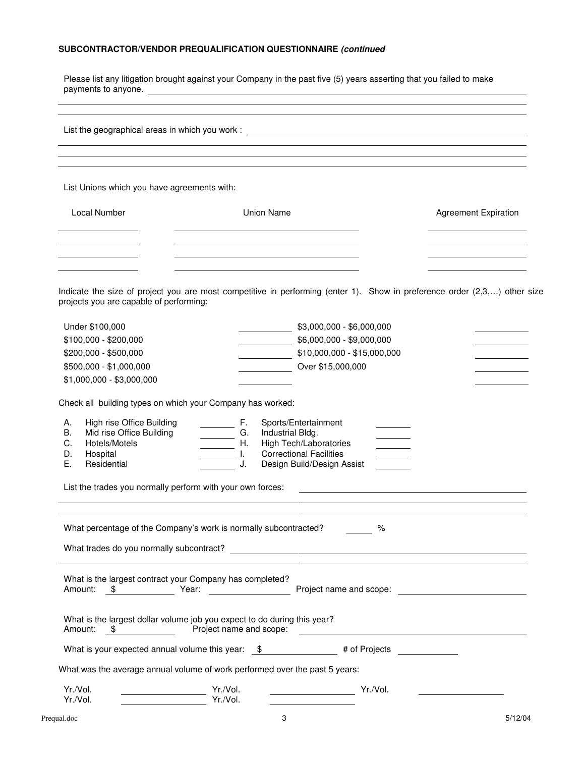### **SUBCONTRACTOR/VENDOR PREQUALIFICATION QUESTIONNAIRE (continued**

Please list any litigation brought against your Company in the past five (5) years asserting that you failed to make payments to anyone.

List the geographical areas in which you work :

List Unions which you have agreements with:

| Local Number | Union Name | <b>Agreement Expiration</b> |
|--------------|------------|-----------------------------|
|              |            |                             |
|              |            |                             |
|              |            |                             |

 Indicate the size of project you are most competitive in performing (enter 1). Show in preference order (2,3,…) other size projects you are capable of performing:

| Under \$100,000           | $$3,000,000 - $6,000,000$   |  |
|---------------------------|-----------------------------|--|
| \$100,000 - \$200,000     | \$6,000,000 - \$9,000,000   |  |
| \$200,000 - \$500,000     | \$10,000,000 - \$15,000,000 |  |
| \$500,000 - \$1,000,000   | Over \$15,000,000           |  |
| \$1,000,000 - \$3,000,000 |                             |  |

Check all building types on which your Company has worked:

| А.<br>В. | High rise Office Building |      | Sports/Entertainment           |  |
|----------|---------------------------|------|--------------------------------|--|
|          | Mid rise Office Building  | G.   | Industrial Bldg.               |  |
| C.       | Hotels/Motels             | H. . | High Tech/Laboratories         |  |
| D.       | Hospital                  |      | <b>Correctional Facilities</b> |  |
| E.       | Residential               |      | Design Build/Design Assist     |  |

List the trades you normally perform with your own forces:

|  |                                                                                                                | What trades do you normally subcontract?<br>The contract of the contract of the contract of the contract of the contract of the contract of the contract o |  |
|--|----------------------------------------------------------------------------------------------------------------|------------------------------------------------------------------------------------------------------------------------------------------------------------|--|
|  | What is the largest contract your Company has completed?                                                       |                                                                                                                                                            |  |
|  |                                                                                                                |                                                                                                                                                            |  |
|  | What is the largest dollar volume job you expect to do during this year?<br>Amount: \$ Project name and scope: |                                                                                                                                                            |  |
|  |                                                                                                                |                                                                                                                                                            |  |
|  |                                                                                                                | What is your expected annual volume this year: $\quad$ $\quad$ $\quad$ $\quad$ $\quad$ # of Projects                                                       |  |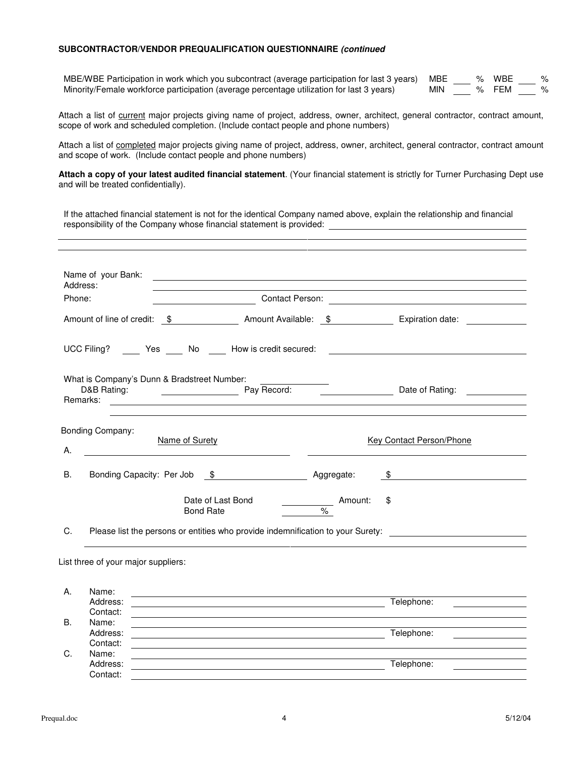#### **SUBCONTRACTOR/VENDOR PREQUALIFICATION QUESTIONNAIRE (continued**

MBE/WBE Participation in work which you subcontract (average participation for last 3 years) MBE  $\_\_\_\_$  % WBE  $\_\_\_\_$  % FEM  $\_\_\_\_$ Minority/Female workforce participation (average percentage utilization for last 3 years)

Attach a list of current major projects giving name of project, address, owner, architect, general contractor, contract amount, scope of work and scheduled completion. (Include contact people and phone numbers)

Attach a list of completed major projects giving name of project, address, owner, architect, general contractor, contract amount and scope of work. (Include contact people and phone numbers)

**Attach a copy of your latest audited financial statement**. (Your financial statement is strictly for Turner Purchasing Dept use and will be treated confidentially).

If the attached financial statement is not for the identical Company named above, explain the relationship and financial responsibility of the Company whose financial statement is provided:

| Phone: |                                             |                  |                                                                                                                       |                          |                                                                                                      |
|--------|---------------------------------------------|------------------|-----------------------------------------------------------------------------------------------------------------------|--------------------------|------------------------------------------------------------------------------------------------------|
|        |                                             |                  |                                                                                                                       |                          | Amount of line of credit: \$ Amount Available: \$ Expiration date:                                   |
|        |                                             |                  |                                                                                                                       |                          | UCC Filing? ______ Yes _____ No _____ How is credit secured: ____________________                    |
|        | What is Company's Dunn & Bradstreet Number: |                  |                                                                                                                       |                          |                                                                                                      |
| А.     | Bonding Company:                            | Name of Surety   | <u> 1980 - Johann Barn, mars ann an t-Amhain Aonaich an t-Aonaich an t-Aonaich an t-Aonaich an t-Aonaich an t-Aon</u> |                          | <b>Key Contact Person/Phone</b>                                                                      |
|        |                                             |                  | Bonding Capacity: Per Job \$ Aggregate:                                                                               |                          | $\frac{1}{2}$                                                                                        |
| В.     |                                             |                  |                                                                                                                       |                          |                                                                                                      |
|        |                                             | <b>Bond Rate</b> | Date of Last Bond<br>$\mathcal{L}^{\text{max}}$ and $\mathcal{L}^{\text{max}}$                                        | Amount:<br>$\frac{1}{6}$ | \$                                                                                                   |
| C.     |                                             |                  |                                                                                                                       |                          | Please list the persons or entities who provide indemnification to your Surety: ____________________ |

|    | Address: | Telephone: |
|----|----------|------------|
|    | Contact: |            |
| В. | Name:    |            |
|    | Address: | Telephone: |
|    | Contact: |            |
| C. | Name:    |            |
|    | Address: | Telephone: |
|    | Contact: |            |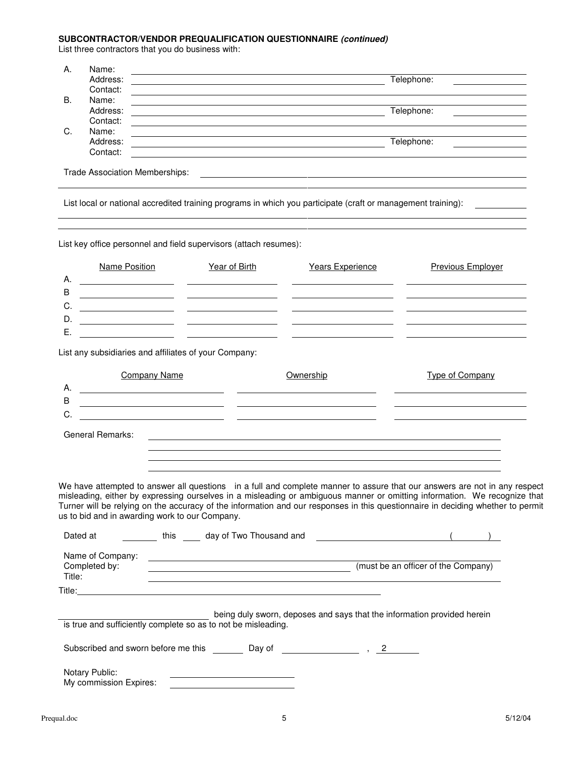#### **SUBCONTRACTOR/VENDOR PREQUALIFICATION QUESTIONNAIRE (continued)**

List three contractors that you do business with:

| Α. | Name:    |            |
|----|----------|------------|
|    | Address: | Telephone: |
|    | Contact: |            |
| B. | Name:    |            |
|    | Address: | Telephone: |
|    | Contact: |            |
| C. | Name:    |            |
|    | Address: | Telephone: |
|    | Contact: |            |
|    |          |            |

Trade Association Memberships:

List local or national accredited training programs in which you participate (craft or management training):

List key office personnel and field supervisors (attach resumes):

<u> 1989 - Johann Barn, mars ann an t-Amhain Aonaich an t-Aonaich an t-Aonaich ann an t-Aonaich ann an t-Aonaich</u>

|             | Name Position                                                         | Year of Birth                                                                                                         | Years Experience | <b>Previous Employer</b> |
|-------------|-----------------------------------------------------------------------|-----------------------------------------------------------------------------------------------------------------------|------------------|--------------------------|
| Α.          |                                                                       |                                                                                                                       |                  |                          |
| $\mathsf B$ |                                                                       |                                                                                                                       |                  |                          |
| C.          |                                                                       | <u> 1980 - Jan Sterling von Berling von Berling von Berling von Berling von Berling von Berling von Berling von B</u> |                  |                          |
| D.          |                                                                       | <u> 1980 - Johann John Stone, markin sanadi (</u>                                                                     |                  |                          |
| Е.          |                                                                       |                                                                                                                       |                  |                          |
|             | List any subsidiaries and affiliates of your Company:<br>Company Name |                                                                                                                       | Ownership        | Type of Company          |
| А.          |                                                                       |                                                                                                                       |                  |                          |
| B           |                                                                       |                                                                                                                       |                  |                          |
| C.          |                                                                       |                                                                                                                       |                  |                          |

General Remarks:

We have attempted to answer all questions in a full and complete manner to assure that our answers are not in any respect misleading, either by expressing ourselves in a misleading or ambiguous manner or omitting information. We recognize that Turner will be relying on the accuracy of the information and our responses in this questionnaire in deciding whether to permit us to bid and in awarding work to our Company.

| Dated at                                                      | this | day of Two Thousand and                                                 |            |                                     |
|---------------------------------------------------------------|------|-------------------------------------------------------------------------|------------|-------------------------------------|
| Name of Company:<br>Completed by:<br>Title:                   |      |                                                                         |            | (must be an officer of the Company) |
| Title:                                                        |      |                                                                         |            |                                     |
| is true and sufficiently complete so as to not be misleading. |      | being duly sworn, deposes and says that the information provided herein |            |                                     |
| Subscribed and sworn before me this                           |      | Day of                                                                  | $\sim$ , 2 |                                     |
| Notary Public:<br>My commission Expires:                      |      |                                                                         |            |                                     |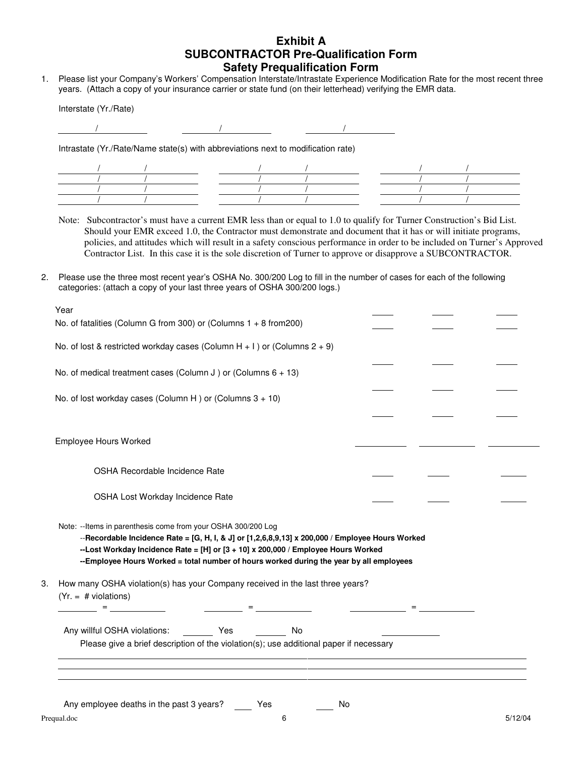## **Exhibit A SUBCONTRACTOR Pre-Qualification Form Safety Prequalification Form**

1. Please list your Company's Workers' Compensation Interstate/Intrastate Experience Modification Rate for the most recent three years. (Attach a copy of your insurance carrier or state fund (on their letterhead) verifying the EMR data.

Interstate (Yr./Rate)

Intrastate (Yr./Rate/Name state(s) with abbreviations next to modification rate)



Note: Subcontractor's must have a current EMR less than or equal to 1.0 to qualify for Turner Construction's Bid List. Should your EMR exceed 1.0, the Contractor must demonstrate and document that it has or will initiate programs, policies, and attitudes which will result in a safety conscious performance in order to be included on Turner's Approved Contractor List. In this case it is the sole discretion of Turner to approve or disapprove a SUBCONTRACTOR.

2. Please use the three most recent year's OSHA No. 300/200 Log to fill in the number of cases for each of the following categories: (attach a copy of your last three years of OSHA 300/200 logs.)

|    | No. of medical treatment cases (Column J) or (Columns $6 + 13$ )                                                                                                                                                                                                                                                                                  |  |                                                   |  |
|----|---------------------------------------------------------------------------------------------------------------------------------------------------------------------------------------------------------------------------------------------------------------------------------------------------------------------------------------------------|--|---------------------------------------------------|--|
|    | No. of lost workday cases (Column H) or (Columns $3 + 10$ )                                                                                                                                                                                                                                                                                       |  |                                                   |  |
|    |                                                                                                                                                                                                                                                                                                                                                   |  |                                                   |  |
|    | Employee Hours Worked                                                                                                                                                                                                                                                                                                                             |  |                                                   |  |
|    | OSHA Recordable Incidence Rate                                                                                                                                                                                                                                                                                                                    |  |                                                   |  |
|    | OSHA Lost Workday Incidence Rate                                                                                                                                                                                                                                                                                                                  |  |                                                   |  |
|    |                                                                                                                                                                                                                                                                                                                                                   |  |                                                   |  |
|    | Note: -- Items in parenthesis come from your OSHA 300/200 Log<br>--Recordable Incidence Rate = [G, H, I, & J] or [1,2,6,8,9,13] x 200,000 / Employee Hours Worked<br>--Lost Workday Incidence Rate = [H] or [3 + 10] x 200,000 / Employee Hours Worked<br>--Employee Hours Worked = total number of hours worked during the year by all employees |  |                                                   |  |
| 3. | How many OSHA violation(s) has your Company received in the last three years?<br>$(Yr. = # violations)$                                                                                                                                                                                                                                           |  |                                                   |  |
|    | <u> - Alexander Alexander - Alexander - Alexander - Alexander - Alexander - Alexander - Alexander - Alexander - A</u>                                                                                                                                                                                                                             |  | <u> 1990 - Jan James James, politik (</u> † 1922) |  |
|    |                                                                                                                                                                                                                                                                                                                                                   |  |                                                   |  |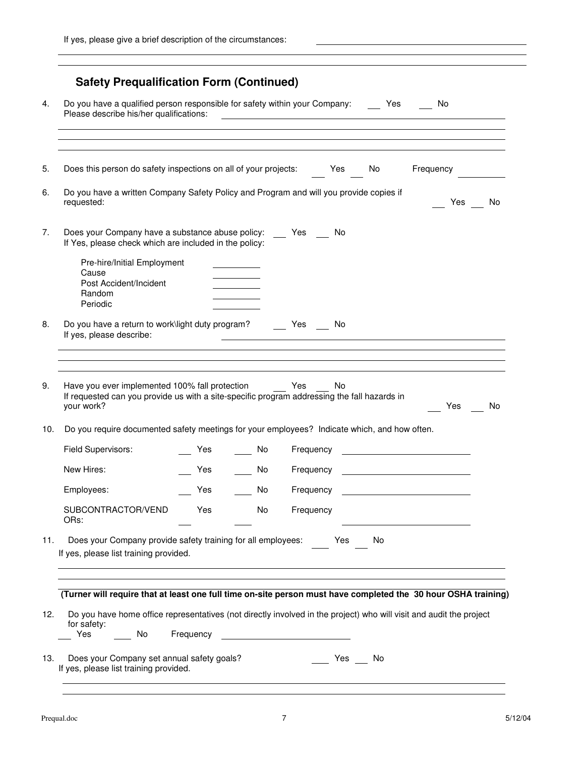|     | Do you have a qualified person responsible for safety within your Company: Yes<br>Please describe his/her qualifications:                                                                                                                                       |      |    | <u> Alexandro de la contrada de la contrada de la contrada de la contrada de la contrada de la contrada de la co</u> |    | i No                                            |    |
|-----|-----------------------------------------------------------------------------------------------------------------------------------------------------------------------------------------------------------------------------------------------------------------|------|----|----------------------------------------------------------------------------------------------------------------------|----|-------------------------------------------------|----|
|     | Does this person do safety inspections on all of your projects:                                                                                                                                                                                                 |      |    | Yes                                                                                                                  | No | Frequency                                       |    |
|     | Do you have a written Company Safety Policy and Program and will you provide copies if<br>requested:                                                                                                                                                            |      |    |                                                                                                                      |    | Yes                                             | No |
|     | Does your Company have a substance abuse policy: Yes No<br>If Yes, please check which are included in the policy:                                                                                                                                               |      |    |                                                                                                                      |    |                                                 |    |
|     | Pre-hire/Initial Employment<br>Cause<br>Post Accident/Incident<br>Random<br>Periodic                                                                                                                                                                            |      |    |                                                                                                                      |    |                                                 |    |
|     | Do you have a return to work\light duty program? Yes No<br>If yes, please describe:                                                                                                                                                                             |      |    | <u> 1980 - Andrea Santa Alemania, amerikana amerikana amerikana amerikana amerikana amerikana amerikana amerikan</u> |    |                                                 |    |
|     |                                                                                                                                                                                                                                                                 |      |    |                                                                                                                      |    |                                                 |    |
|     | Have you ever implemented 100% fall protection Yes<br>If requested can you provide us with a site-specific program addressing the fall hazards in<br>your work?<br>Do you require documented safety meetings for your employees? Indicate which, and how often. |      |    | No.                                                                                                                  |    | Yes                                             | No |
| 10. | Field Supervisors:                                                                                                                                                                                                                                              | Yes. | No | Frequency                                                                                                            |    |                                                 |    |
|     | New Hires:                                                                                                                                                                                                                                                      | Yes  | No | Frequency                                                                                                            |    | <u> 1980 - Andrea Barbara, poeta esperanto-</u> |    |
|     | Employees:                                                                                                                                                                                                                                                      | Yes  | No | Frequency                                                                                                            |    |                                                 |    |
|     | SUBCONTRACTOR/VEND<br>ORs:                                                                                                                                                                                                                                      | Yes  | No | Frequency                                                                                                            |    |                                                 |    |
| 11. | Does your Company provide safety training for all employees: Yes<br>If yes, please list training provided.                                                                                                                                                      |      |    |                                                                                                                      | No |                                                 |    |
| 12. | (Turner will require that at least one full time on-site person must have completed the 30 hour OSHA training)<br>Do you have home office representatives (not directly involved in the project) who will visit and audit the project<br>for safety:            |      |    |                                                                                                                      |    |                                                 |    |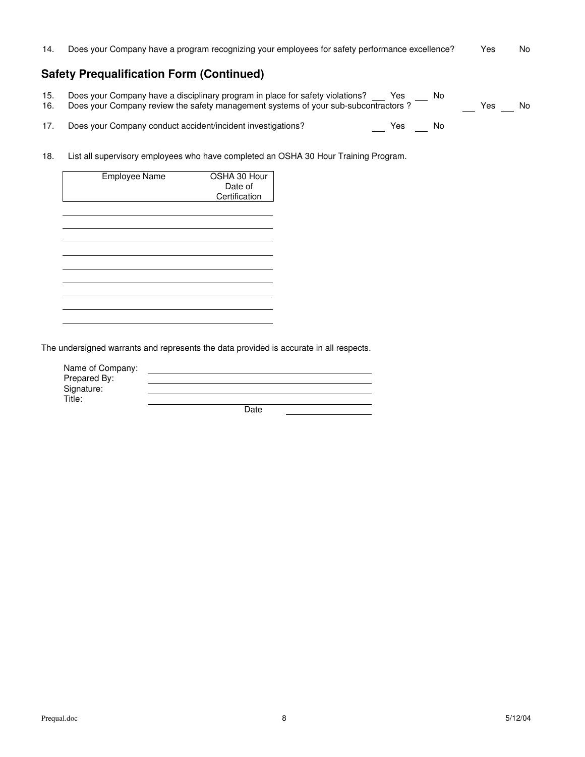$14.$ Does your Company have a program recognizing your employees for safety performance excellence? Yes No

# **Safety Prequalification Form (Continued)**

| 15.<br>16. | Does your Company have a disciplinary program in place for safety violations?<br>Does your Company review the safety management systems of your sub-subcontractors? | Yes | No | Yes | No. |
|------------|---------------------------------------------------------------------------------------------------------------------------------------------------------------------|-----|----|-----|-----|
|            | Does your Company conduct accident/incident investigations?                                                                                                         | Yes | No |     |     |

18. List all supervisory employees who have completed an OSHA 30 Hour Training Program.

| Employee Name | OSHA 30 Hour<br>Date of<br>Certification |
|---------------|------------------------------------------|
|               |                                          |
|               |                                          |
|               |                                          |
|               |                                          |
|               |                                          |
|               |                                          |

The undersigned warrants and represents the data provided is accurate in all respects.

| Name of Company:<br>Prepared By: |      |  |
|----------------------------------|------|--|
| Signature:                       |      |  |
| Title:                           |      |  |
|                                  | Date |  |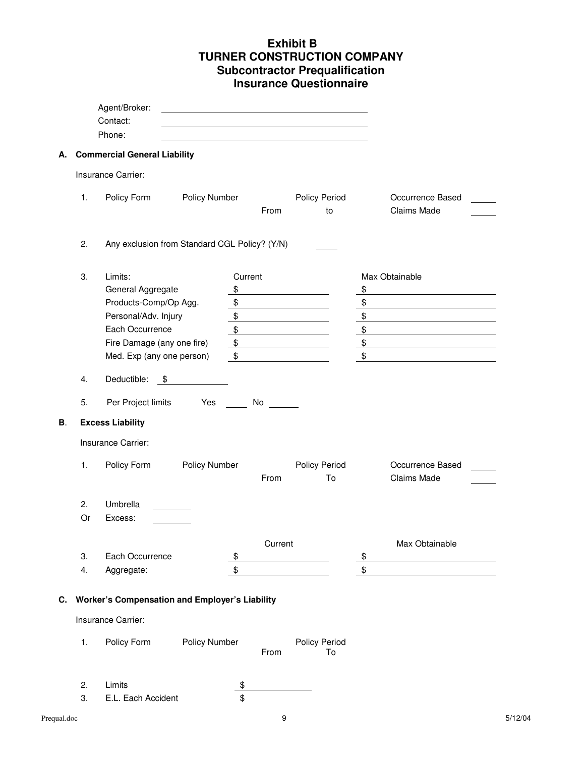# **Exhibit B TURNER CONSTRUCTION COMPANY Subcontractor Prequalification Insurance Questionnaire**

|    | Contact:<br>Phone:                                    |               |                                                                                                                                                                                                                                |                            |               |                    |
|----|-------------------------------------------------------|---------------|--------------------------------------------------------------------------------------------------------------------------------------------------------------------------------------------------------------------------------|----------------------------|---------------|--------------------|
|    |                                                       |               |                                                                                                                                                                                                                                |                            |               |                    |
|    | <b>Commercial General Liability</b>                   |               |                                                                                                                                                                                                                                |                            |               |                    |
|    | Insurance Carrier:                                    |               |                                                                                                                                                                                                                                |                            |               |                    |
| 1. | Policy Form                                           | Policy Number |                                                                                                                                                                                                                                | Policy Period              |               | Occurrence Based   |
|    |                                                       |               | From                                                                                                                                                                                                                           | to                         |               | Claims Made        |
| 2. | Any exclusion from Standard CGL Policy? (Y/N)         |               |                                                                                                                                                                                                                                |                            |               |                    |
| 3. | Limits:                                               | Current       |                                                                                                                                                                                                                                |                            |               | Max Obtainable     |
|    | General Aggregate                                     | \$            |                                                                                                                                                                                                                                |                            | \$            |                    |
|    | Products-Comp/Op Agg.                                 | \$            |                                                                                                                                                                                                                                |                            | \$            |                    |
|    | Personal/Adv. Injury                                  | \$            |                                                                                                                                                                                                                                |                            | \$            |                    |
|    | Each Occurrence                                       | \$            |                                                                                                                                                                                                                                |                            | \$            |                    |
|    | Fire Damage (any one fire)                            | \$            |                                                                                                                                                                                                                                |                            | $\frac{1}{2}$ |                    |
|    | Med. Exp (any one person)                             | \$            |                                                                                                                                                                                                                                |                            | \$            |                    |
| 4. | Deductible:<br>\$                                     |               |                                                                                                                                                                                                                                |                            |               |                    |
| 5. | Per Project limits                                    | Yes           | No control to the North State of the North State of the North State of the North State of the North State of the North State of the North State of the North State of the North State of the North State of the North State of |                            |               |                    |
|    | <b>Excess Liability</b>                               |               |                                                                                                                                                                                                                                |                            |               |                    |
|    | Insurance Carrier:                                    |               |                                                                                                                                                                                                                                |                            |               |                    |
| 1. | Policy Form                                           | Policy Number |                                                                                                                                                                                                                                | Policy Period              |               | Occurrence Based   |
|    |                                                       |               | From                                                                                                                                                                                                                           | To                         |               | <b>Claims Made</b> |
|    |                                                       |               |                                                                                                                                                                                                                                |                            |               |                    |
| 2. | Umbrella                                              |               |                                                                                                                                                                                                                                |                            |               |                    |
| Or | Excess:                                               |               |                                                                                                                                                                                                                                |                            |               |                    |
|    |                                                       |               |                                                                                                                                                                                                                                |                            |               | Max Obtainable     |
| 3. | Each Occurrence                                       | \$            | Current                                                                                                                                                                                                                        |                            | \$            |                    |
| 4. | Aggregate:                                            | \$            |                                                                                                                                                                                                                                |                            | \$            |                    |
|    | <b>Worker's Compensation and Employer's Liability</b> |               |                                                                                                                                                                                                                                |                            |               |                    |
|    | Insurance Carrier:                                    |               |                                                                                                                                                                                                                                |                            |               |                    |
| 1. | Policy Form                                           | Policy Number | From                                                                                                                                                                                                                           | <b>Policy Period</b><br>To |               |                    |
| 2. | Limits                                                | \$            |                                                                                                                                                                                                                                |                            |               |                    |